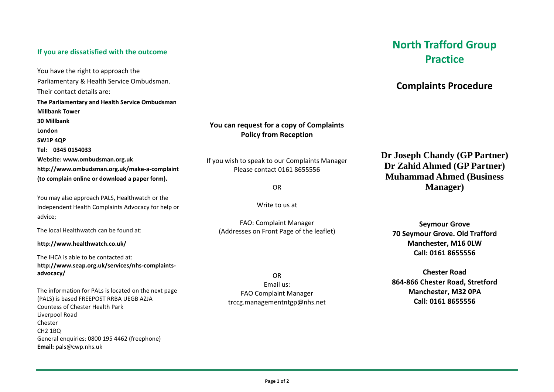### **If you are dissatisfied with the outcome**

You have the right to approach the Parliamentary & Health Service Ombudsman. Their contact details are: **The Parliamentary and Health Service Ombudsman Millbank Tower 30 Millbank London SW1P 4QP Tel: 0345 0154033 Website: www.ombudsman.org.uk http://www.ombudsman.org.uk/make-a-complaint (to complain online or download a paper form).** 

You may also approach PALS, Healthwatch or the Independent Health Complaints Advocacy for help or advice;

The local Healthwatch can be found at:

**http://www.healthwatch.co.uk/**

The IHCA is able to be contacted at: **http://www.seap.org.uk/services/nhs-complaintsadvocacy/**

The information for PALs is located on the next page (PALS) is based FREEPOST RRBA UEGB AZJA Countess of Chester Health Park Liverpool Road Chester CH2 1BQ General enquiries: 0800 195 4462 (freephone) **Email:** [pals@cwp.nhs.uk](mailto:pals@cwp.nhs.uk)

## **You can request for a copy of Complaints Policy from Reception**

If you wish to speak to our Complaints Manager Please contact 0161 8655556

OR

Write to us at

FAO: Complaint Manager (Addresses on Front Page of the leaflet)

OR Email us: FAO Complaint Manager trccg.managementntgp@nhs.net

# **North Trafford Group Practice**

## **Complaints Procedure**

**Dr Joseph Chandy (GP Partner) Dr Zahid Ahmed (GP Partner) Muhammad Ahmed (Business Manager)**

**Seymour Grove 70 Seymour Grove. Old Trafford Manchester, M16 0LW Call: 0161 8655556**

**Chester Road 864-866 Chester Road, Stretford Manchester, M32 0PA Call: 0161 8655556**